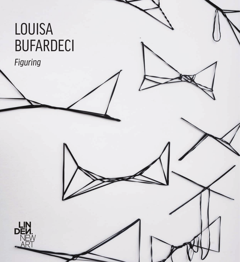# LOUISA BUFARDECI

*Figuring*

LIN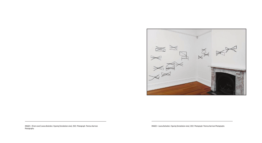

#### IMAGES > [Front cover] Louisa Bufardeci, *Figuring* [Installation view], 2022. Photograph: Theresa Harrison Photography.

IMAGES > Louisa Bufardeci, *Figuring* [Installation view], 2022. Photograph: Theresa Harrison Photography.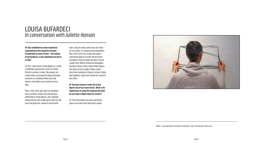IMAGE > Louisa Bufardeci installing string figures, 2022. Photograph: Shelley Xue.

**JH: Your exhibition has been inspired by a phenomenon that would be instantly recognisable to many visitors – the making of string figures. Is this something you did as a child?** 

LB: Yes, I did practice string figures as a child. I remember playing them with my friend Patrick in primary school. We played cat's cradle where we passed the figure between ourselves in a predetermined way that meant a new figure was created at every step.

Then, a few years ago when my daughter was at primary school, she also became interested in string figures, and I enjoyed relearning the cat's cradle game with her. Her aunt had given her a book of instructions

with a loop of string, which was too small for my hands, so I plaited some embroidery floss that I had in my studio and made a substantial loop for myself. We practiced the figures from her book and then I found a book from 1906 by American ethnologist Caroline Furness Jayne called *String Figures: The Study of Cat's Cradle in Many Lands*, which has hundreds of figures to learn. Doing that together really kick-started my research into them.

**JH: You have chosen to make the string figures out of face-mask elastic. What is the significance of using this material and what do you hope it might evoke for viewers?**

LB: The mask elastic has had a particular place in our lives over these past couple



### LOUISA BUFARDECI *In conversation with Juliette Hanson*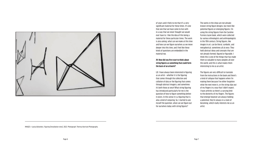

of years and it feels to me that it's a very significant material for these times. It's one that one that we have come to live with in a way that we never thought we would ever have to. I like the idea of this being a material for these particular times. The work is also asking, what can we make at this time and how can we figure ourselves as we move deeper into this time, and I feel like these kinds of questions are embedded in the material too.

### **JH: How did you first start to think about string figures as something that could form the basis of an artwork?**

LB: I have always been interested in figuring as an artist – whether it is the figuring that comes through the collection and collation of data or the figuring that comes through abstract imagery, and sometimes it's both those at once! What string figuring has introduced particularly for me is the question of how to figure something before it exists. In this sense it is a figuring that is also a kind of conjuring. So, I started to ask myself the question, what can we figure out for ourselves today with string figures?

The works in the show are not already known string figure designs, but more like potential figures or emerging figures. I'm using the string figures from the Caroline Furness Jayne book, which were collected by various ethnologists and anthropologists in the 19th century. String figures, like images in art, can be literal, symbolic, and metaphorical, sometimes all at once. They hold abstract ideas and concepts that are not already formed, figured or figurable. I think this is one of the things that has made them so valuable to many peoples all over the world, and this is what makes them interesting to me as an artist.

The figures are very difficult to translate from the instructions in the book and there's a kind of collapse that happens when I'm making them because I've either forgotten what the next move is, or the string slips out of my fingers in a way that I didn't expect. I have arthritis so there's a varying limit to the dexterity of my fingers. The figures that emerge however are always holding a potential; they're always in a state of becoming, which really interests me as an artist.

IMAGES > Louisa Bufardeci, *Figuring* [Installation view], 2022. Photograph: Theresa Harrison Photography.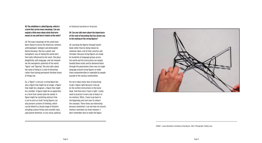**JH: The exhibition is called** *figuring***, which is a term that carries many meanings. Can you explain a little more about what that term means to you and how it relates to the work?**

LB: The many meanings of this word have been shown to me by the American, feminist anthropologist, biologist and philosopher Donna Haraway. She has a poetic and metaphoric way of seeing the world and I feel really influenced by her work. She plays delightfully with language, and she showed me the metaphoric potential of the words "figure" and "figuring". She also talks about the value of being in a state of becoming rather than having permanent finished states of things too.

So, a "figure" is not just a string figure but also a figure that might be an image, a figure that might be a diagram, a figure that might be a number. A figure might be an apparition or a form that cannot quite be named. A figure might be something abstract that is yet to exist as itself. String figures can also present systems of thinking, which can be linked to a broad range of theories including science fiction and scientific data, speculative feminism, or any social, political

or historical narrative or structure.

#### **JH: Can you talk more about the importance of the state of becoming that has drawn you to the making of the string figures?**

LB: Learning the figures through Jayne's book rather than by being shown by someone takes a lot of time, practice and mistakes. Because string figures are made by hundreds of language groups across the world and the instructions are largely handed down orally and by demonstration through the generations there was no single language around string figures to make them comprehensible or makeable by people outside of the various communities.

For me it takes many days of practicing to get a figure right because I only go by the written instructions in the Jayne book. And then once I have it right, I really need to practice it every day to keep it in my memory. Often, I have to go back to the beginning and start over to relearn the concepts. These times are interesting because sometimes I can see how my muscle memory overtakes my brain memory; I don't remember how to make the figure,



IMAGE > Louisa Bufardeci installing string figures, 2022. Photograph: Shelley Xue.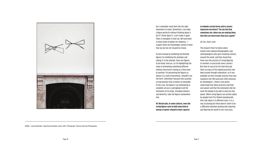IMAGE > Louisa Bufardeci, *Figuring* [Installation view], 2022. Photograph: Theresa Harrison Photography.



but I remember what feels like the right movement to make. Sometimes I can make a figure perfectly without thinking about it but if I think about it, I can't make it again. There is metaphor in that too. We have been in these kinds of bodies for millennia – I suspect there are knowledges stored in there that we are not yet situated to reveal.

So here instead of exhibiting the finished figures I'm exhibiting the attempts and asking if, in the attempt, there are figures to be found. And yes, as I'm highlighting the value of attempting something different without necessarily coming to a final state or position, I'm presenting the figures as always in a state of becoming. I wouldn't use the term "unfinished" because that assumes an end position that is known or knowable. In this case, the figures I am attempting to complete are just a springboard and the limitations of my body, including memory and dexterity, take the figures somewhere else.

**JH: Historically, in some cultures, were the string figures seen to hold some kind of energy or power related to their capacity** 

**to embody certain forms and to convey important narratives? Do you feel that sometimes too, when you are making them, that they are much more than just a game?**

#### LB: Yes, that's true!

The research that I've done comes mainly from colonial ethnographers and anthropologists who were studying cultures around the world, and they found that there was this practice of string figuring in common, in practically every country. But then of course by the time they got there so many of the original practices had been erased through colonialism, so it was probably an even stronger practice than was realised in the 19th and early 20th centuries by ethnologists. I think it was pretty understood that these practices had their own power and that the colonialists did not want the people to be able to exercise that power. When string figures are written about by people from First Nation backgrounds, they talk about it in different ways. It is a way of playing but there doesn't seem to be a difference between playing and conjuring and figuring the world in very real ways.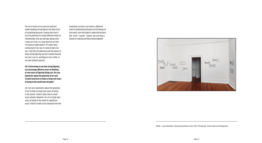For me in terms of my own art practice, understanding string figures has been kind of unsettling because I realise now that it has the potential to create different kinds of relationships that are perhaps doing what I want art to do, in a way that the art that I've always made doesn't. It's been more confusing for me, but it's kind of been fun too. I feel like the potential and the power of what string figuring can do is totally beyond me, but I can try and figure it out a little, in my own limited capacity.

**JH: It interesting to see that string figuring can encourage different ways of thinking, or new ways of figuring things out. Are you optimistic about the potential of art and creative practices to help us forge new ways of being in the world more broadly?**

LB: I am very optimistic about the potential of art to help us forge new ways of being in the world. I think it does that in small ways already. However, for art to forge new ways of being in the world in significant ways I think it needs to be released from the

institution so that it can foster a different kind of relationship between all the beings of the world, one that doesn't make distinctions like "artist" "curator" "viewer" but one that is based on making and flourishing together.



IMAGE > Louisa Bufardeci, *Figuring* [Installation view], 2022. Photograph: Theresa Harrison Photography.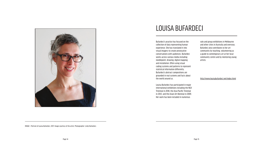IMAGE > Portrait of Louisa Bufardeci, 2017. Image courtesy of the artist. Photographer: Lindy Bufardeci.

Bufardeci's practice has focused on the collection of data representing human experience. She has translated it into visual imagery to create provocative conversations with audiences. Bufardeci works across various media including needlepoint, drawing, digital mapping and installation. Often using visual coding systems and patterns to represent statistical information differently, Bufardeci's abstract compositions are grounded in real systems and facts about the world around us.

Louisa Bufardeci has participated in major international exhibitions including the NGV Triennial in 2018, the Asia-Pacific Triennial in 2012, and the Asian Art Biennial in 2009. Her work has been included in numerous

solo and group exhibitions in Melbourne and other cities in Australia and overseas. Bufardeci also contributes to her art community by teaching, volunteering as a guide to contemporary art at her local community centre and by mentoring young artists.

#### <http://www.louisabufardeci.net/index.html>



## LOUISA BUFARDECI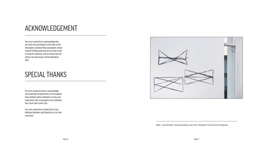The artist would like to acknowledge that this work was developed on the lands of the Wurundjeri and Boon Wurrung peoples whose creative thinking and practice has been a part of living for millennia, and to restate that this always was and always will be Aboriginal land.

The artist would also like to acknowledge with gratitude the generosity of her daughter Gena without whose willingness to play and experiment with string figures this exhibition may never have come to be.

The artist would like to thank Dan St Clair, Matthew Bufardeci and Porphyria Lu for their assistance.



### ACKNOWLEDGEMENT

IMAGE > Louisa Bufardeci, *Figuring* [Installation view], 2022. Photograph: Theresa Harrison Photography.

### SPECIAL THANKS